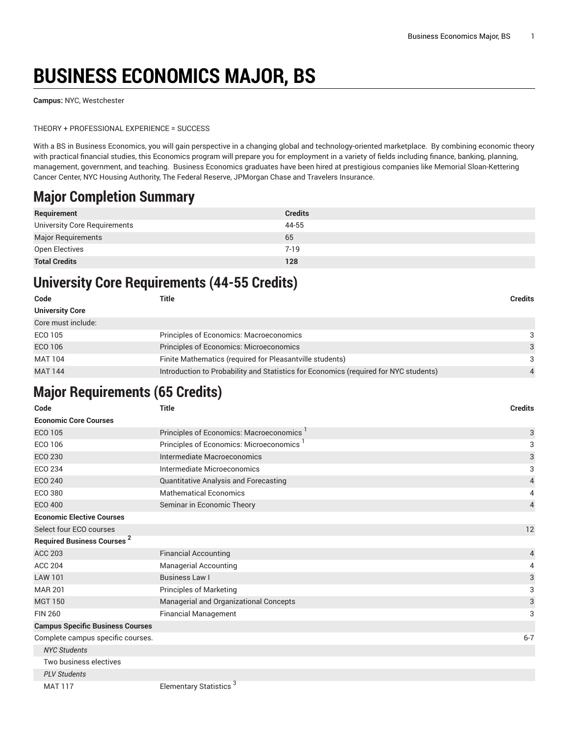## **BUSINESS ECONOMICS MAJOR, BS**

**Campus:** NYC, Westchester

THEORY + PROFESSIONAL EXPERIENCE = SUCCESS

With a BS in Business Economics, you will gain perspective in a changing global and technology-oriented marketplace. By combining economic theory with practical financial studies, this Economics program will prepare you for employment in a variety of fields including finance, banking, planning, management, government, and teaching. Business Economics graduates have been hired at prestigious companies like Memorial Sloan-Kettering Cancer Center, NYC Housing Authority, The Federal Reserve, JPMorgan Chase and Travelers Insurance.

## **Major Completion Summary**

| Requirement                  | <b>Credits</b> |
|------------------------------|----------------|
| University Core Requirements | 44-55          |
| <b>Major Requirements</b>    | 65             |
| Open Electives               | $7 - 19$       |
| <b>Total Credits</b>         | 128            |

## **University Core Requirements (44-55 Credits)**

| Code                   | Title                                                                                | <b>Credits</b> |
|------------------------|--------------------------------------------------------------------------------------|----------------|
| <b>University Core</b> |                                                                                      |                |
| Core must include:     |                                                                                      |                |
| ECO 105                | Principles of Economics: Macroeconomics                                              | 3              |
| ECO 106                | Principles of Economics: Microeconomics                                              | $\mathcal{R}$  |
| <b>MAT 104</b>         | Finite Mathematics (required for Pleasantville students)                             | 3              |
| <b>MAT 144</b>         | Introduction to Probability and Statistics for Economics (required for NYC students) | 4              |

## **Major Requirements (65 Credits)**

| Code                                    | <b>Title</b><br><b>Credits</b>            |                |
|-----------------------------------------|-------------------------------------------|----------------|
| <b>Economic Core Courses</b>            |                                           |                |
| <b>ECO 105</b>                          | Principles of Economics: Macroeconomics   | 3              |
| ECO 106                                 | Principles of Economics: Microeconomics 1 | 3              |
| ECO 230                                 | Intermediate Macroeconomics               | 3              |
| <b>ECO 234</b>                          | Intermediate Microeconomics               | 3              |
| <b>ECO 240</b>                          | Quantitative Analysis and Forecasting     | 4              |
| ECO 380                                 | <b>Mathematical Economics</b>             | 4              |
| <b>ECO 400</b>                          | Seminar in Economic Theory                | $\overline{4}$ |
| <b>Economic Elective Courses</b>        |                                           |                |
| Select four ECO courses                 |                                           | 12             |
| <b>Required Business Courses 2</b>      |                                           |                |
| <b>ACC 203</b>                          | <b>Financial Accounting</b>               | 4              |
| <b>ACC 204</b>                          | <b>Managerial Accounting</b>              |                |
| <b>LAW 101</b>                          | Business Law I                            | 3              |
| <b>MAR 201</b>                          | <b>Principles of Marketing</b>            | 3              |
| <b>MGT 150</b>                          | Managerial and Organizational Concepts    | 3              |
| <b>FIN 260</b>                          | <b>Financial Management</b>               | 3              |
| <b>Campus Specific Business Courses</b> |                                           |                |
| Complete campus specific courses.       |                                           | $6 - 7$        |
| <b>NYC Students</b>                     |                                           |                |
| Two business electives                  |                                           |                |
| <b>PLV Students</b>                     |                                           |                |
| MAXT 117                                | Elementory Ctatiotics <sup>3</sup>        |                |

MAT 117 **Elementary Statistics**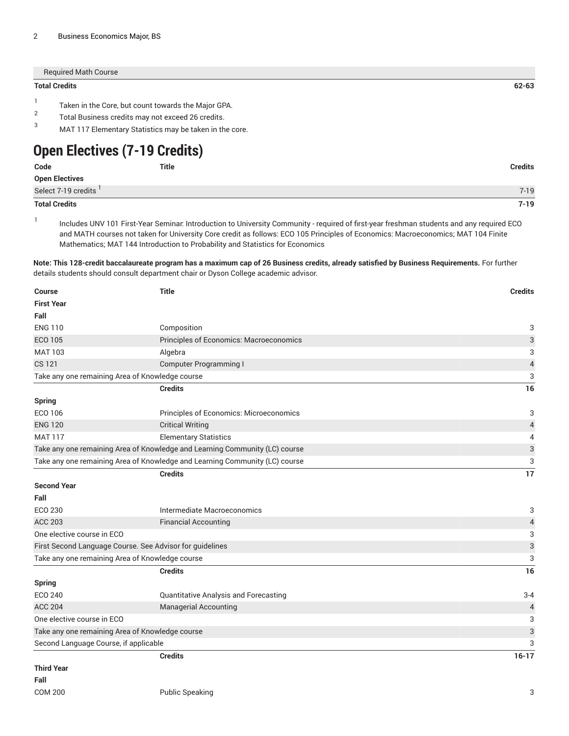| <b>Total Credits</b> |                                                                                                                                                                     | 62-63 |
|----------------------|---------------------------------------------------------------------------------------------------------------------------------------------------------------------|-------|
| 2<br>3               | Taken in the Core, but count towards the Major GPA.<br>Total Business credits may not exceed 26 credits.<br>MAT 117 Elementary Statistics may be taken in the core. |       |
|                      | <b>Open Electives (7-19 Credits)</b>                                                                                                                                |       |

| Code                  | <b>Title</b> | <b>Credits</b> |
|-----------------------|--------------|----------------|
| <b>Open Electives</b> |              |                |
| Select 7-19 credits   |              | $7 - 19$       |
| <b>Total Credits</b>  |              | $7 - 19$       |

1

Includes UNV 101 First-Year Seminar: Introduction to University Community - required of first-year freshman students and any required ECO and MATH courses not taken for University Core credit as follows: ECO 105 Principles of Economics: Macroeconomics; MAT 104 Finite Mathematics; MAT 144 Introduction to Probability and Statistics for Economics

Note: This 128-credit baccalaureate program has a maximum cap of 26 Business credits, already satisfied by Business Requirements. For further details students should consult department chair or Dyson College academic advisor.

| Course                                | <b>Title</b>                                                                | <b>Credits</b>            |
|---------------------------------------|-----------------------------------------------------------------------------|---------------------------|
| <b>First Year</b>                     |                                                                             |                           |
| Fall                                  |                                                                             |                           |
| <b>ENG 110</b>                        | Composition                                                                 | 3                         |
| <b>ECO 105</b>                        | Principles of Economics: Macroeconomics                                     | 3                         |
| <b>MAT 103</b>                        | Algebra                                                                     | 3                         |
| <b>CS 121</b>                         | <b>Computer Programming I</b>                                               | $\overline{4}$            |
|                                       | Take any one remaining Area of Knowledge course                             | 3                         |
|                                       | <b>Credits</b>                                                              | 16                        |
| <b>Spring</b>                         |                                                                             |                           |
| ECO 106                               | Principles of Economics: Microeconomics                                     | 3                         |
| <b>ENG 120</b>                        | <b>Critical Writing</b>                                                     | $\overline{4}$            |
| <b>MAT 117</b>                        | <b>Elementary Statistics</b>                                                | 4                         |
|                                       | Take any one remaining Area of Knowledge and Learning Community (LC) course | $\ensuremath{\mathsf{3}}$ |
|                                       | Take any one remaining Area of Knowledge and Learning Community (LC) course | 3                         |
|                                       | <b>Credits</b>                                                              | 17                        |
| <b>Second Year</b>                    |                                                                             |                           |
| Fall                                  |                                                                             |                           |
| ECO 230                               | Intermediate Macroeconomics                                                 | 3                         |
| <b>ACC 203</b>                        | <b>Financial Accounting</b>                                                 | 4                         |
| One elective course in ECO            |                                                                             | 3                         |
|                                       | First Second Language Course. See Advisor for guidelines                    | $\sqrt{3}$                |
|                                       | Take any one remaining Area of Knowledge course                             | 3                         |
|                                       | <b>Credits</b>                                                              | 16                        |
| <b>Spring</b>                         |                                                                             |                           |
| <b>ECO 240</b>                        | Quantitative Analysis and Forecasting                                       | $3 - 4$                   |
| <b>ACC 204</b>                        | <b>Managerial Accounting</b>                                                | $\overline{4}$            |
| One elective course in ECO            |                                                                             | 3                         |
|                                       | Take any one remaining Area of Knowledge course                             | $\sqrt{3}$                |
| Second Language Course, if applicable |                                                                             | 3                         |
|                                       | <b>Credits</b>                                                              | $16 - 17$                 |
| <b>Third Vear</b>                     |                                                                             |                           |

**Third Year Fall**